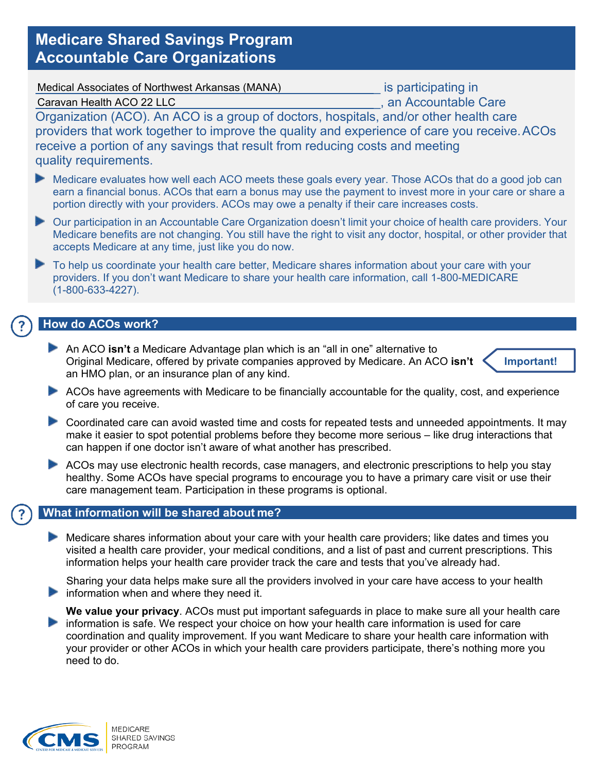# **Medicare Shared Savings Program Accountable Care Organizations**

|--|

is participating in \_, an Accountable Care

Caravan Health ACO 22 LLC

Organization (ACO). An ACO is a group of doctors, hospitals, and/or other health care providers that work together to improve the quality and experience of care you receive.ACOs receive a portion of any savings that result from reducing costs and meeting quality requirements.

- Medicare evaluates how well each ACO meets these goals every year. Those ACOs that do a good job can earn a financial bonus. ACOs that earn a bonus may use the payment to invest more in your care or share a portion directly with your providers. ACOs may owe a penalty if their care increases costs.
- Our participation in an Accountable Care Organization doesn't limit your choice of health care providers. Your Medicare benefits are not changing. You still have the right to visit any doctor, hospital, or other provider that accepts Medicare at any time, just like you do now.
- To help us coordinate your health care better, Medicare shares information about your care with your providers. If you don't want Medicare to share your health care information, call 1-800-MEDICARE (1-800-633-4227).

## **How do ACOs work?**

An ACO **isn't** a Medicare Advantage plan which is an "all in one" alternative to Original Medicare, offered by private companies approved by Medicare. An ACO **isn't**  an HMO plan, or an insurance plan of any kind.



- ACOs have agreements with Medicare to be financially accountable for the quality, cost, and experience of care you receive.
- **Coordinated care can avoid wasted time and costs for repeated tests and unneeded appointments. It may** make it easier to spot potential problems before they become more serious – like drug interactions that can happen if one doctor isn't aware of what another has prescribed.
- ACOs may use electronic health records, case managers, and electronic prescriptions to help you stay healthy. Some ACOs have special programs to encourage you to have a primary care visit or use their care management team. Participation in these programs is optional.

## **What information will be shared about me?**

Medicare shares information about your care with your health care providers; like dates and times you visited a health care provider, your medical conditions, and a list of past and current prescriptions. This information helps your health care provider track the care and tests that you've already had.

Sharing your data helps make sure all the providers involved in your care have access to your health  $\blacktriangleright$  information when and where they need it.

**We value your privacy**. ACOs must put important safeguards in place to make sure all your health care information is safe. We respect your choice on how your health care information is used for care coordination and quality improvement. If you want Medicare to share your health care information with your provider or other ACOs in which your health care providers participate, there's nothing more you need to do.